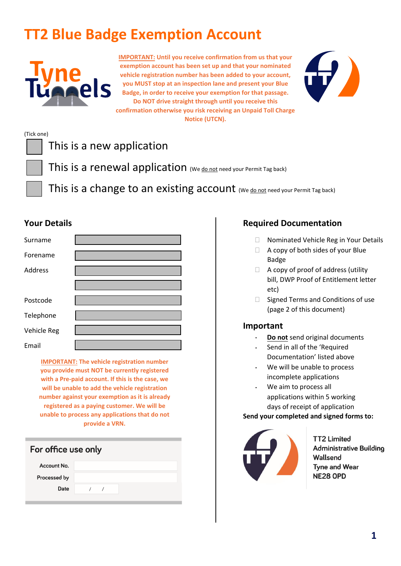# **TT2 Blue Badge Exemption Account**



**IMPORTANT: Until you receive confirmation from us that your exemption account has been set up and that your nominated vehicle registration number has been added to your account, you MUST stop at an inspection lane and present your Blue Badge, in order to receive your exemption for that passage. Do NOT drive straight through until you receive this confirmation otherwise you risk receiving an Unpaid Toll Charge Notice (UTCN).**



# (Tick one) This is a new application This is a renewal application (We do not need your Permit Tag back) This is a change to an existing account (We do not need your Permit Tag back)

### **Your Details**

| Surname        |  |
|----------------|--|
| Forename       |  |
| <b>Address</b> |  |
|                |  |
| Postcode       |  |
| Telephone      |  |
| Vehicle Reg    |  |
| Email          |  |

**IMPORTANT: The vehicle registration number you provide must NOT be currently registered with a Pre-paid account. If this is the case, we will be unable to add the vehicle registration number against your exemption as it is already registered as a paying customer. We will be unable to process any applications that do not provide a VRN.**

| For office use only |  |
|---------------------|--|
| Account No.         |  |
| Processed by        |  |
| Date                |  |
|                     |  |

## **Required Documentation**

- □ Nominated Vehicle Reg in Your Details
- $\Box$  A copy of both sides of your Blue Badge
- $\Box$  A copy of proof of address (utility bill, DWP Proof of Entitlement letter etc)
- $\Box$  Signed Terms and Conditions of use (page 2 of this document)

### **Important**

.

- . **Do not** send original documents
- . Send in all of the 'Required Documentation' listed above
- . We will be unable to process incomplete applications
- We aim to process all applications within 5 working days of receipt of application

#### **Send your completed and signed forms to:**



**TT2 Limited** Administrative Building Wallsend **Tyne and Wear NE28 OPD**